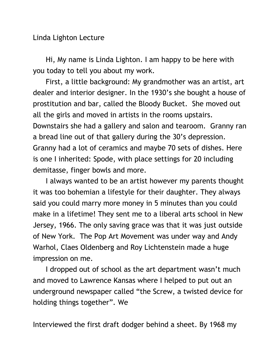Linda Lighton Lecture

Hi, My name is Linda Lighton. I am happy to be here with you today to tell you about my work.

First, a little background: My grandmother was an artist, art dealer and interior designer. In the 1930's she bought a house of prostitution and bar, called the Bloody Bucket. She moved out all the girls and moved in artists in the rooms upstairs. Downstairs she had a gallery and salon and tearoom. Granny ran a bread line out of that gallery during the 30's depression. Granny had a lot of ceramics and maybe 70 sets of dishes. Here is one I inherited: Spode, with place settings for 20 including demitasse, finger bowls and more.

I always wanted to be an artist however my parents thought it was too bohemian a lifestyle for their daughter. They always said you could marry more money in 5 minutes than you could make in a lifetime! They sent me to a liberal arts school in New Jersey, 1966. The only saving grace was that it was just outside of New York. The Pop Art Movement was under way and Andy Warhol, Claes Oldenberg and Roy Lichtenstein made a huge impression on me.

I dropped out of school as the art department wasn't much and moved to Lawrence Kansas where I helped to put out an underground newspaper called "the Screw, a twisted device for holding things together". We

Interviewed the first draft dodger behind a sheet. By 1968 my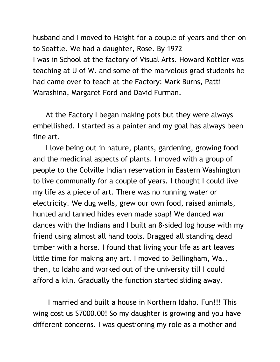husband and I moved to Haight for a couple of years and then on to Seattle. We had a daughter, Rose. By 1972 I was in School at the factory of Visual Arts. Howard Kottler was teaching at U of W. and some of the marvelous grad students he had came over to teach at the Factory: Mark Burns, Patti Warashina, Margaret Ford and David Furman.

At the Factory I began making pots but they were always embellished. I started as a painter and my goal has always been fine art.

I love being out in nature, plants, gardening, growing food and the medicinal aspects of plants. I moved with a group of people to the Colville Indian reservation in Eastern Washington to live communally for a couple of years. I thought I could live my life as a piece of art. There was no running water or electricity. We dug wells, grew our own food, raised animals, hunted and tanned hides even made soap! We danced war dances with the Indians and I built an 8-sided log house with my friend using almost all hand tools. Dragged all standing dead timber with a horse. I found that living your life as art leaves little time for making any art. I moved to Bellingham, Wa., then, to Idaho and worked out of the university till I could afford a kiln. Gradually the function started sliding away.

I married and built a house in Northern Idaho. Fun!!! This wing cost us \$7000.00! So my daughter is growing and you have different concerns. I was questioning my role as a mother and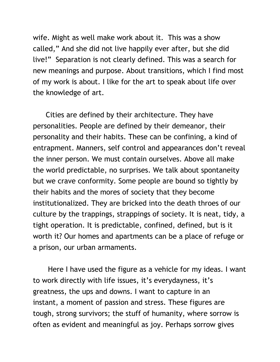wife. Might as well make work about it. This was a show called," And she did not live happily ever after, but she did live!" Separation is not clearly defined. This was a search for new meanings and purpose. About transitions, which I find most of my work is about. I like for the art to speak about life over the knowledge of art.

Cities are defined by their architecture. They have personalities. People are defined by their demeanor, their personality and their habits. These can be confining, a kind of entrapment. Manners, self control and appearances don't reveal the inner person. We must contain ourselves. Above all make the world predictable, no surprises. We talk about spontaneity but we crave conformity. Some people are bound so tightly by their habits and the mores of society that they become institutionalized. They are bricked into the death throes of our culture by the trappings, strappings of society. It is neat, tidy, a tight operation. It is predictable, confined, defined, but is it worth it? Our homes and apartments can be a place of refuge or a prison, our urban armaments.

Here I have used the figure as a vehicle for my ideas. I want to work directly with life issues, it's everydayness, it's greatness, the ups and downs. I want to capture in an instant, a moment of passion and stress. These figures are tough, strong survivors; the stuff of humanity, where sorrow is often as evident and meaningful as joy. Perhaps sorrow gives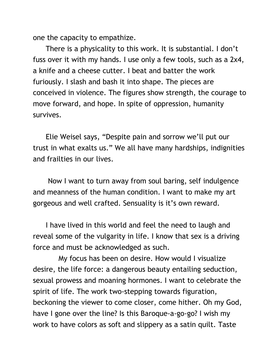one the capacity to empathize.

There is a physicality to this work. It is substantial. I don't fuss over it with my hands. I use only a few tools, such as a 2x4, a knife and a cheese cutter. I beat and batter the work furiously. I slash and bash it into shape. The pieces are conceived in violence. The figures show strength, the courage to move forward, and hope. In spite of oppression, humanity survives.

Elie Weisel says, "Despite pain and sorrow we'll put our trust in what exalts us." We all have many hardships, indignities and frailties in our lives.

Now I want to turn away from soul baring, self indulgence and meanness of the human condition. I want to make my art gorgeous and well crafted. Sensuality is it's own reward.

I have lived in this world and feel the need to laugh and reveal some of the vulgarity in life. I know that sex is a driving force and must be acknowledged as such.

My focus has been on desire. How would I visualize desire, the life force: a dangerous beauty entailing seduction, sexual prowess and moaning hormones. I want to celebrate the spirit of life. The work two-stepping towards figuration, beckoning the viewer to come closer, come hither. Oh my God, have I gone over the line? Is this Baroque-a-go-go? I wish my work to have colors as soft and slippery as a satin quilt. Taste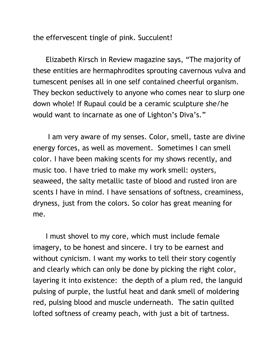the effervescent tingle of pink. Succulent!

Elizabeth Kirsch in Review magazine says, "The majority of these entities are hermaphrodites sprouting cavernous vulva and tumescent penises all in one self contained cheerful organism. They beckon seductively to anyone who comes near to slurp one down whole! If Rupaul could be a ceramic sculpture she/he would want to incarnate as one of Lighton's Diva's."

I am very aware of my senses. Color, smell, taste are divine energy forces, as well as movement. Sometimes I can smell color. I have been making scents for my shows recently, and music too. I have tried to make my work smell: oysters, seaweed, the salty metallic taste of blood and rusted iron are scents I have in mind. I have sensations of softness, creaminess, dryness, just from the colors. So color has great meaning for me.

I must shovel to my core, which must include female imagery, to be honest and sincere. I try to be earnest and without cynicism. I want my works to tell their story cogently and clearly which can only be done by picking the right color, layering it into existence: the depth of a plum red, the languid pulsing of purple, the lustful heat and dank smell of moldering red, pulsing blood and muscle underneath. The satin quilted lofted softness of creamy peach, with just a bit of tartness.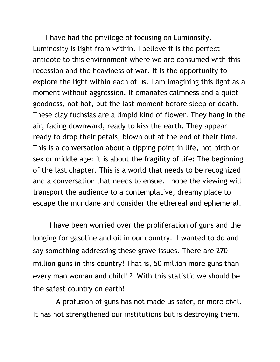I have had the privilege of focusing on Luminosity. Luminosity is light from within. I believe it is the perfect antidote to this environment where we are consumed with this recession and the heaviness of war. It is the opportunity to explore the light within each of us. I am imagining this light as a moment without aggression. It emanates calmness and a quiet goodness, not hot, but the last moment before sleep or death. These clay fuchsias are a limpid kind of flower. They hang in the air, facing downward, ready to kiss the earth. They appear ready to drop their petals, blown out at the end of their time. This is a conversation about a tipping point in life, not birth or sex or middle age: it is about the fragility of life: The beginning of the last chapter. This is a world that needs to be recognized and a conversation that needs to ensue. I hope the viewing will transport the audience to a contemplative, dreamy place to escape the mundane and consider the ethereal and ephemeral.

I have been worried over the proliferation of guns and the longing for gasoline and oil in our country. I wanted to do and say something addressing these grave issues. There are 270 million guns in this country! That is, 50 million more guns than every man woman and child! ? With this statistic we should be the safest country on earth!

 A profusion of guns has not made us safer, or more civil. It has not strengthened our institutions but is destroying them.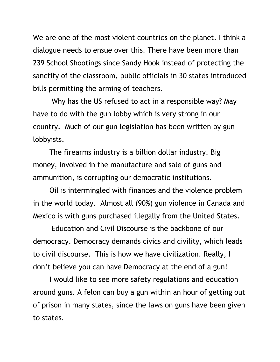We are one of the most violent countries on the planet. I think a dialogue needs to ensue over this. There have been more than 239 School Shootings since Sandy Hook instead of protecting the sanctity of the classroom, public officials in 30 states introduced bills permitting the arming of teachers.

Why has the US refused to act in a responsible way? May have to do with the gun lobby which is very strong in our country. Much of our gun legislation has been written by gun lobbyists.

The firearms industry is a billion dollar industry. Big money, involved in the manufacture and sale of guns and ammunition, is corrupting our democratic institutions.

 Oil is intermingled with finances and the violence problem in the world today. Almost all (90%) gun violence in Canada and Mexico is with guns purchased illegally from the United States.

Education and Civil Discourse is the backbone of our democracy. Democracy demands civics and civility, which leads to civil discourse. This is how we have civilization. Really, I don't believe you can have Democracy at the end of a gun!

I would like to see more safety regulations and education around guns. A felon can buy a gun within an hour of getting out of prison in many states, since the laws on guns have been given to states.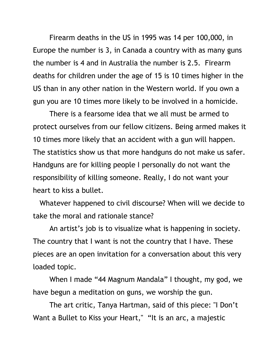Firearm deaths in the US in 1995 was 14 per 100,000, in Europe the number is 3, in Canada a country with as many guns the number is 4 and in Australia the number is 2.5. Firearm deaths for children under the age of 15 is 10 times higher in the US than in any other nation in the Western world. If you own a gun you are 10 times more likely to be involved in a homicide.

There is a fearsome idea that we all must be armed to protect ourselves from our fellow citizens. Being armed makes it 10 times more likely that an accident with a gun will happen. The statistics show us that more handguns do not make us safer. Handguns are for killing people I personally do not want the responsibility of killing someone. Really, I do not want your heart to kiss a bullet.

 Whatever happened to civil discourse? When will we decide to take the moral and rationale stance?

An artist's job is to visualize what is happening in society. The country that I want is not the country that I have. These pieces are an open invitation for a conversation about this very loaded topic.

When I made "44 Magnum Mandala" I thought, my god, we have begun a meditation on guns, we worship the gun.

The art critic, Tanya Hartman, said of this piece: "I Don't Want a Bullet to Kiss your Heart," "It is an arc, a majestic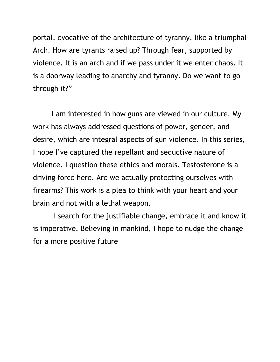portal, evocative of the architecture of tyranny, like a triumphal Arch. How are tyrants raised up? Through fear, supported by violence. It is an arch and if we pass under it we enter chaos. It is a doorway leading to anarchy and tyranny. Do we want to go through it?"

I am interested in how guns are viewed in our culture. My work has always addressed questions of power, gender, and desire, which are integral aspects of gun violence. In this series, I hope I've captured the repellant and seductive nature of violence. I question these ethics and morals. Testosterone is a driving force here. Are we actually protecting ourselves with firearms? This work is a plea to think with your heart and your brain and not with a lethal weapon.

 I search for the justifiable change, embrace it and know it is imperative. Believing in mankind, I hope to nudge the change for a more positive future